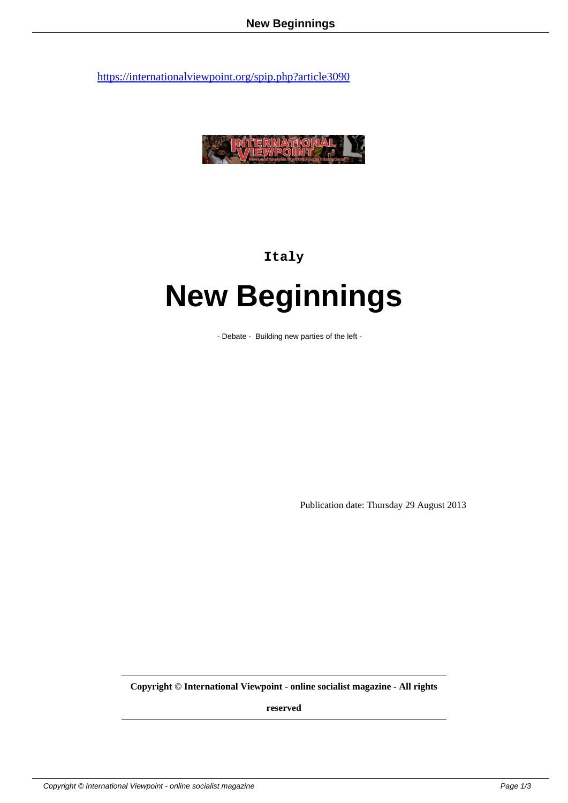

## **Italy**

## **New Beginnings**

- Debate - Building new parties of the left -

Publication date: Thursday 29 August 2013

**Copyright © International Viewpoint - online socialist magazine - All rights**

**reserved**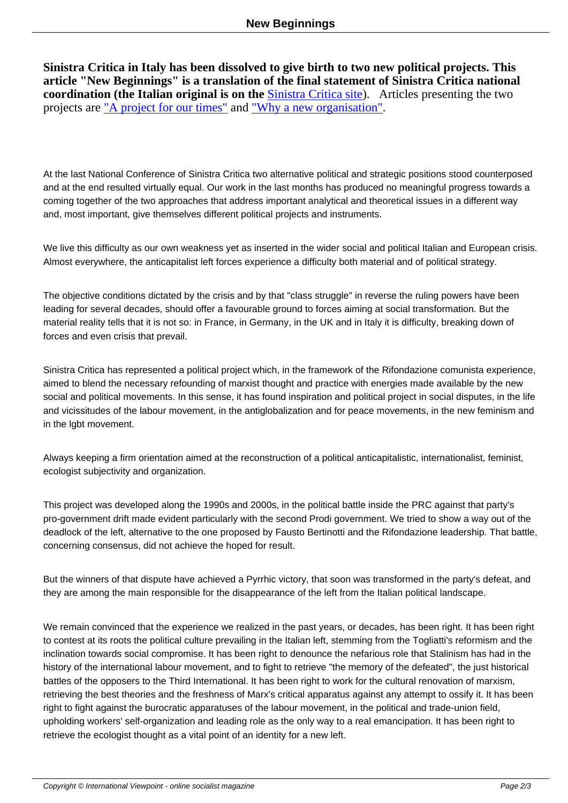**Sinistra Critica in Italy has been dissolved to give birth to two new political projects. This article "New Beginnings" is a translation of the final statement of Sinistra Critica national coordination (the Italian original is on the <b>Sinistra Critica site**). Articles presenting the two projects are <u>"A project for our times"</u> and <u>"Why a new organisation"</u>.

At the last National Conference of Sinistra Critica two alternative political and strategic positions stood counterposed and at the end resulted virtually equal. Our work in the last months has produced no meaningful progress towards a coming together of the two approaches that address important analytical and theoretical issues in a different way and, most important, give themselves different political projects and instruments.

We live this difficulty as our own weakness yet as inserted in the wider social and political Italian and European crisis. Almost everywhere, the anticapitalist left forces experience a difficulty both material and of political strategy.

The objective conditions dictated by the crisis and by that "class struggle" in reverse the ruling powers have been leading for several decades, should offer a favourable ground to forces aiming at social transformation. But the material reality tells that it is not so: in France, in Germany, in the UK and in Italy it is difficulty, breaking down of forces and even crisis that prevail.

Sinistra Critica has represented a political project which, in the framework of the Rifondazione comunista experience, aimed to blend the necessary refounding of marxist thought and practice with energies made available by the new social and political movements. In this sense, it has found inspiration and political project in social disputes, in the life and vicissitudes of the labour movement, in the antiglobalization and for peace movements, in the new feminism and in the lgbt movement.

Always keeping a firm orientation aimed at the reconstruction of a political anticapitalistic, internationalist, feminist, ecologist subjectivity and organization.

This project was developed along the 1990s and 2000s, in the political battle inside the PRC against that party's pro-government drift made evident particularly with the second Prodi government. We tried to show a way out of the deadlock of the left, alternative to the one proposed by Fausto Bertinotti and the Rifondazione leadership. That battle, concerning consensus, did not achieve the hoped for result.

But the winners of that dispute have achieved a Pyrrhic victory, that soon was transformed in the party's defeat, and they are among the main responsible for the disappearance of the left from the Italian political landscape.

We remain convinced that the experience we realized in the past years, or decades, has been right. It has been right to contest at its roots the political culture prevailing in the Italian left, stemming from the Togliatti's reformism and the inclination towards social compromise. It has been right to denounce the nefarious role that Stalinism has had in the history of the international labour movement, and to fight to retrieve "the memory of the defeated", the just historical battles of the opposers to the Third International. It has been right to work for the cultural renovation of marxism, retrieving the best theories and the freshness of Marx's critical apparatus against any attempt to ossify it. It has been right to fight against the burocratic apparatuses of the labour movement, in the political and trade-union field, upholding workers' self-organization and leading role as the only way to a real emancipation. It has been right to retrieve the ecologist thought as a vital point of an identity for a new left.